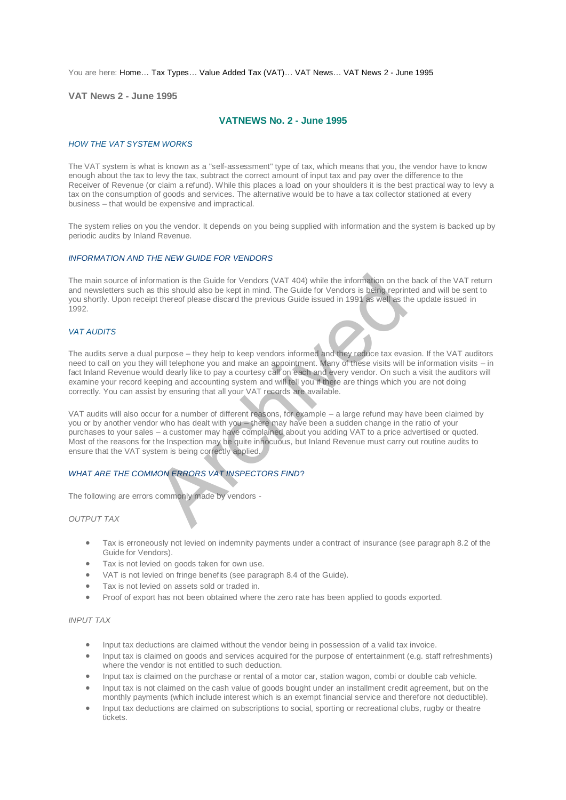You are here: [Home…](http://196.38.114.171/home.asp?pid=1) [Tax Types…](http://196.38.114.171/home.asp?pid=161) [Value Added Tax \(VAT\)…](http://196.38.114.171/home.asp?pid=194) [VAT News…](http://196.38.114.171/home.asp?pid=4722) [VAT News 2 - June 1995](http://196.38.114.171/home.asp?pid=46684) 

**VAT News 2 - June 1995** 

# **VATNEWS No. 2 - June 1995**

### *HOW THE VAT SYSTEM WORKS*

The VAT system is what is known as a "self-assessment" type of tax, which means that you, the vendor have to know enough about the tax to levy the tax, subtract the correct amount of input tax and pay over the difference to the Receiver of Revenue (or claim a refund). While this places a load on your shoulders it is the best practical way to levy a tax on the consumption of goods and services. The alternative would be to have a tax collector stationed at every business – that would be expensive and impractical.

The system relies on you the vendor. It depends on you being supplied with information and the system is backed up by periodic audits by Inland Revenue.

#### *INFORMATION AND THE NEW GUIDE FOR VENDORS*

The main source of information is the Guide for Vendors (VAT 404) while the information on the back of the VAT return and newsletters such as this should also be kept in mind. The Guide for Vendors is being reprinted and will be sent to you shortly. Upon receipt thereof please discard the previous Guide issued in 1991 as well as the update issued in 1992.

## *VAT AUDITS*

The audits serve a dual purpose – they help to keep vendors informed and they reduce tax evasion. If the VAT auditors need to call on you they will telephone you and make an appointment. Many of these visits will be information visits – in fact Inland Revenue would dearly like to pay a courtesy call on each and every vendor. On such a visit the auditors will examine your record keeping and accounting system and will tell you if there are things which you are not doing correctly. You can assist by ensuring that all your VAT records are available. Imation is the Guide for Vendors (VAT 404) while the information on the sthis should also be kept in mind. The Guide for Vendors is being reprint thereof please discard the previous Guide issued in 1991 as well as the prev

VAT audits will also occur for a number of different reasons, for example – a large refund may have been claimed by you or by another vendor who has dealt with you – there may have been a sudden change in the ratio of your purchases to your sales – a customer may have complained about you adding VAT to a price advertised or quoted. Most of the reasons for the Inspection may be quite innocuous, but Inland Revenue must carry out routine audits to ensure that the VAT system is being correctly applied.

### *WHAT ARE THE COMMON ERRORS VAT INSPECTORS FIND*?

The following are errors commonly made by vendors -

*OUTPUT TAX* 

- Tax is erroneously not levied on indemnity payments under a contract of insurance (see paragraph 8.2 of the Guide for Vendors).
- Tax is not levied on goods taken for own use.
- VAT is not levied on fringe benefits (see paragraph 8.4 of the Guide).
- Tax is not levied on assets sold or traded in.
- Proof of export has not been obtained where the zero rate has been applied to goods exported.

## *INPUT TAX*

- Input tax deductions are claimed without the vendor being in possession of a valid tax invoice.
- Input tax is claimed on goods and services acquired for the purpose of entertainment (e.g. staff refreshments) where the vendor is not entitled to such deduction.
- Input tax is claimed on the purchase or rental of a motor car, station wagon, combi or double cab vehicle.
- Input tax is not claimed on the cash value of goods bought under an installment credit agreement, but on the monthly payments (which include interest which is an exempt financial service and therefore not deductible).
- Input tax deductions are claimed on subscriptions to social, sporting or recreational clubs, rugby or theatre tickets.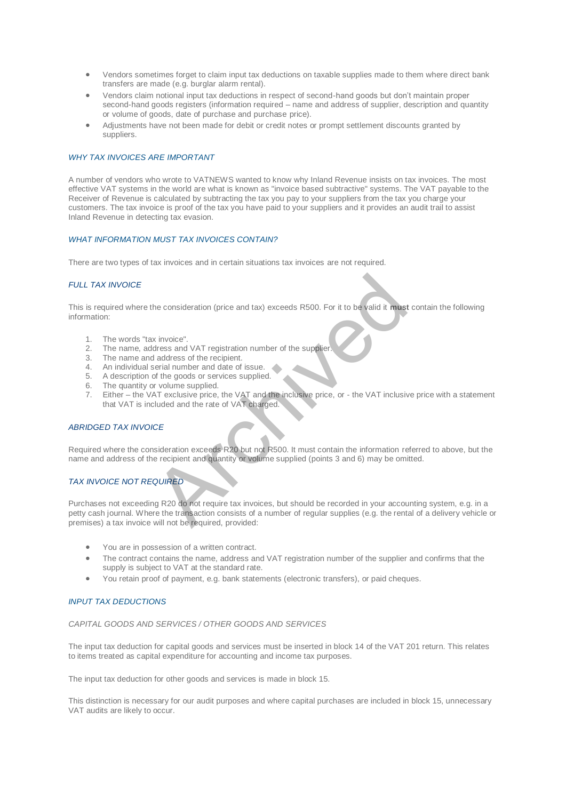- Vendors sometimes forget to claim input tax deductions on taxable supplies made to them where direct bank transfers are made (e.g. burglar alarm rental).
- Vendors claim notional input tax deductions in respect of second-hand goods but don't maintain proper second-hand goods registers (information required – name and address of supplier, description and quantity or volume of goods, date of purchase and purchase price).
- Adjustments have not been made for debit or credit notes or prompt settlement discounts granted by suppliers.

### *WHY TAX INVOICES ARE IMPORTANT*

A number of vendors who wrote to VATNEWS wanted to know why Inland Revenue insists on tax invoices. The most effective VAT systems in the world are what is known as "invoice based subtractive" systems. The VAT payable to the Receiver of Revenue is calculated by subtracting the tax you pay to your suppliers from the tax you charge your customers. The tax invoice is proof of the tax you have paid to your suppliers and it provides an audit trail to assist Inland Revenue in detecting tax evasion.

#### *WHAT INFORMATION MUST TAX INVOICES CONTAIN?*

There are two types of tax invoices and in certain situations tax invoices are not required.

#### *FULL TAX INVOICE*

This is required where the consideration (price and tax) exceeds R500. For it to be valid it **must** contain the following information:

- 1. The words "tax invoice".
- 2. The name, address and VAT registration number of the supplier.<br>3. The name and address of the recipient.
- The name and address of the recipient.
- 4. An individual serial number and date of issue.
- 5. A description of the goods or services supplied.
- 6. The quantity or volume supplied.
- 7. Either the VAT exclusive price, the VAT and the inclusive price, or the VAT inclusive price with a statement that VAT is included and the rate of VAT charged.

## *ABRIDGED TAX INVOICE*

Required where the consideration exceeds R20 but not R500. It must contain the information referred to above, but the name and address of the recipient and quantity or volume supplied (points 3 and 6) may be omitted.

## *TAX INVOICE NOT REQUIRED*

Purchases not exceeding R20 do not require tax invoices, but should be recorded in your accounting system, e.g. in a petty cash journal. Where the transaction consists of a number of regular supplies (e.g. the rental of a delivery vehicle or premises) a tax invoice will not be required, provided: The consideration (price and tax) exceeds R500. For it to be valid it must<br>various consideration (price and tax) exceeds R500. For it to be valid it must<br>didness of the recipient.<br>Archived and the ord at date of sissue.<br>Ar

- You are in possession of a written contract.
- The contract contains the name, address and VAT registration number of the supplier and confirms that the supply is subject to VAT at the standard rate.
- You retain proof of payment, e.g. bank statements (electronic transfers), or paid cheques.

#### *INPUT TAX DEDUCTIONS*

#### *CAPITAL GOODS AND SERVICES / OTHER GOODS AND SERVICES*

The input tax deduction for capital goods and services must be inserted in block 14 of the VAT 201 return. This relates to items treated as capital expenditure for accounting and income tax purposes.

The input tax deduction for other goods and services is made in block 15.

This distinction is necessary for our audit purposes and where capital purchases are included in block 15, unnecessary VAT audits are likely to occur.